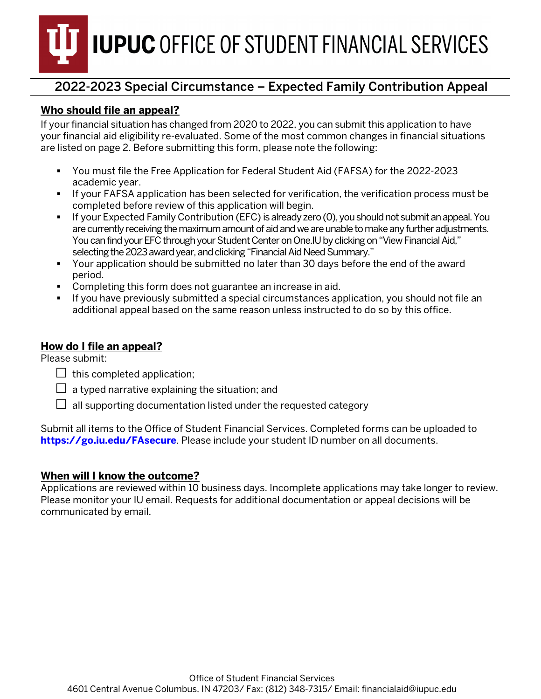**IUPUC** OFFICE OF STUDENT FINANCIAL SERVICES

## 2022-2023 Special Circumstance – Expected Family Contribution Appeal

### **Who should file an appeal?**

If your financial situation has changed from 2020 to 2022, you can submit this application to have your financial aid eligibility re-evaluated. Some of the most common changes in financial situations are listed on page 2. Before submitting this form, please note the following:

- You must file the Free Application for Federal Student Aid (FAFSA) for the 2022-2023 academic year.
- If your FAFSA application has been selected for verification, the verification process must be completed before review of this application will begin.
- If your Expected Family Contribution (EFC) is already zero (0), you should not submit an appeal. You are currently receiving the maximum amount of aid and we are unable to make any further adjustments. You can find your EFC through your Student Center on One. IU by clicking on "View Financial Aid," selecting the 2023 award year, and clicking "Financial Aid Need Summary."
- Your application should be submitted no later than 30 days before the end of the award period.
- Completing this form does not guarantee an increase in aid.
- If you have previously submitted a special circumstances application, you should not file an additional appeal based on the same reason unless instructed to do so by this office.

### **How do I file an appeal?**

Please submit:

- $\Box$  this completed application;
- $\Box$  a typed narrative explaining the situation; and
- $\Box$  all supporting documentation listed under the requested category

Submit all items to the Office of Student Financial Services. Completed forms can be uploaded to **[https://go.iu.edu/FAsecure](https://go.iu.edu/fasecure)**. Please include your student ID number on all documents.

### **When will I know the outcome?**

Applications are reviewed within 10 business days. Incomplete applications may take longer to review. Please monitor your IU email. Requests for additional documentation or appeal decisions will be communicated by email.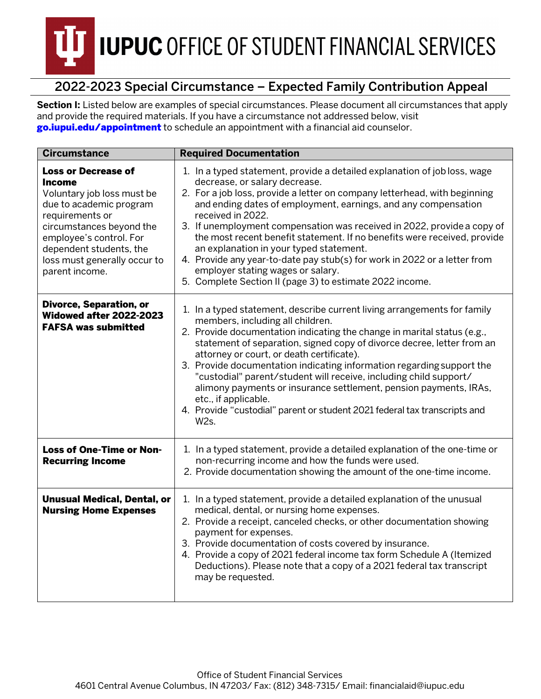# **IUPUC OFFICE OF STUDENT FINANCIAL SERVICES**

# 2022-2023 Special Circumstance – Expected Family Contribution Appeal

**Section I:** Listed below are examples of special circumstances. Please document all circumstances that apply and provide the required materials. If you have a circumstance not addressed below, visit [go.iupui.edu/appointment](https://studentcentral.iupui.edu/contact/appointment.html) to schedule an appointment with a financial aid counselor.

| <b>Circumstance</b>                                                                                                                                                                                                                                  | <b>Required Documentation</b>                                                                                                                                                                                                                                                                                                                                                                                                                                                                                                                                                                                                                                  |  |  |
|------------------------------------------------------------------------------------------------------------------------------------------------------------------------------------------------------------------------------------------------------|----------------------------------------------------------------------------------------------------------------------------------------------------------------------------------------------------------------------------------------------------------------------------------------------------------------------------------------------------------------------------------------------------------------------------------------------------------------------------------------------------------------------------------------------------------------------------------------------------------------------------------------------------------------|--|--|
| <b>Loss or Decrease of</b><br>Income<br>Voluntary job loss must be<br>due to academic program<br>requirements or<br>circumstances beyond the<br>employee's control. For<br>dependent students, the<br>loss must generally occur to<br>parent income. | 1. In a typed statement, provide a detailed explanation of job loss, wage<br>decrease, or salary decrease.<br>2. For a job loss, provide a letter on company letterhead, with beginning<br>and ending dates of employment, earnings, and any compensation<br>received in 2022.<br>3. If unemployment compensation was received in 2022, provide a copy of<br>the most recent benefit statement. If no benefits were received, provide<br>an explanation in your typed statement.<br>4. Provide any year-to-date pay stub(s) for work in 2022 or a letter from<br>employer stating wages or salary.<br>5. Complete Section II (page 3) to estimate 2022 income. |  |  |
| <b>Divorce, Separation, or</b><br>Widowed after 2022-2023<br><b>FAFSA was submitted</b>                                                                                                                                                              | 1. In a typed statement, describe current living arrangements for family<br>members, including all children.<br>2. Provide documentation indicating the change in marital status (e.g.,<br>statement of separation, signed copy of divorce decree, letter from an<br>attorney or court, or death certificate).<br>3. Provide documentation indicating information regarding support the<br>"custodial" parent/student will receive, including child support/<br>alimony payments or insurance settlement, pension payments, IRAs,<br>etc., if applicable.<br>4. Provide "custodial" parent or student 2021 federal tax transcripts and<br>W <sub>2s</sub> .    |  |  |
| <b>Loss of One-Time or Non-</b><br><b>Recurring Income</b>                                                                                                                                                                                           | 1. In a typed statement, provide a detailed explanation of the one-time or<br>non-recurring income and how the funds were used.<br>2. Provide documentation showing the amount of the one-time income.                                                                                                                                                                                                                                                                                                                                                                                                                                                         |  |  |
| <b>Unusual Medical, Dental, or</b><br><b>Nursing Home Expenses</b>                                                                                                                                                                                   | 1. In a typed statement, provide a detailed explanation of the unusual<br>medical, dental, or nursing home expenses.<br>2. Provide a receipt, canceled checks, or other documentation showing<br>payment for expenses.<br>3. Provide documentation of costs covered by insurance.<br>4. Provide a copy of 2021 federal income tax form Schedule A (Itemized<br>Deductions). Please note that a copy of a 2021 federal tax transcript<br>may be requested.                                                                                                                                                                                                      |  |  |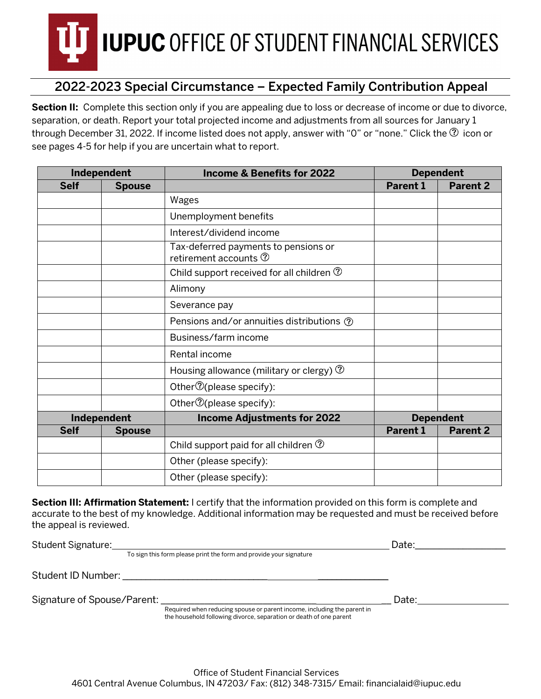# **IUPUC OFFICE OF STUDENT FINANCIAL SERVICES**

## 2022-2023 Special Circumstance – Expected Family Contribution Appeal

**Section II:** Complete this section only if you are appealing due to loss or decrease of income or due to divorce, separation, or death. Report your total projected income and adjustments from all sources for January 1 through December 31, 2022. If income listed does not apply, answer with "0" or "none." Click the  $\circled{2}$  icon or see pages 4-5 for help if you are uncertain what to report.

| Independent |               | <b>Income &amp; Benefits for 2022</b>                                     | <b>Dependent</b> |                 |
|-------------|---------------|---------------------------------------------------------------------------|------------------|-----------------|
| <b>Self</b> | <b>Spouse</b> |                                                                           | <b>Parent 1</b>  | <b>Parent 2</b> |
|             |               | Wages                                                                     |                  |                 |
|             |               | Unemployment benefits                                                     |                  |                 |
|             |               | Interest/dividend income                                                  |                  |                 |
|             |               | Tax-deferred payments to pensions or<br>retirement accounts $\circled{2}$ |                  |                 |
|             |               | Child support received for all children $\circled{2}$                     |                  |                 |
|             |               | Alimony                                                                   |                  |                 |
|             |               | Severance pay                                                             |                  |                 |
|             |               | Pensions and/or annuities distributions ①                                 |                  |                 |
|             |               | Business/farm income                                                      |                  |                 |
|             |               | Rental income                                                             |                  |                 |
|             |               | Housing allowance (military or clergy) $\circled{2}$                      |                  |                 |
|             |               | Other $\mathcal{D}$ (please specify):                                     |                  |                 |
|             |               | Other <sup>7</sup> (please specify):                                      |                  |                 |
|             | Independent   | <b>Income Adjustments for 2022</b>                                        | <b>Dependent</b> |                 |
| <b>Self</b> | <b>Spouse</b> |                                                                           | <b>Parent 1</b>  | <b>Parent 2</b> |
|             |               | Child support paid for all children $\circled{?}$                         |                  |                 |
|             |               | Other (please specify):                                                   |                  |                 |
|             |               | Other (please specify):                                                   |                  |                 |

**Section III: Affirmation Statement:** I certify that the information provided on this form is complete and accurate to the best of my knowledge. Additional information may be requested and must be received before the appeal is reviewed.

| Student Signature:                                           |                                                                         | Date: |  |
|--------------------------------------------------------------|-------------------------------------------------------------------------|-------|--|
|                                                              | To sign this form please print the form and provide your signature      |       |  |
| Student ID Number: National Action of the Student ID Number: |                                                                         |       |  |
| Signature of Spouse/Parent:                                  | Required when reducing spouse or parent income, including the parent in | Date: |  |
|                                                              | the household following divorce, separation or death of one parent      |       |  |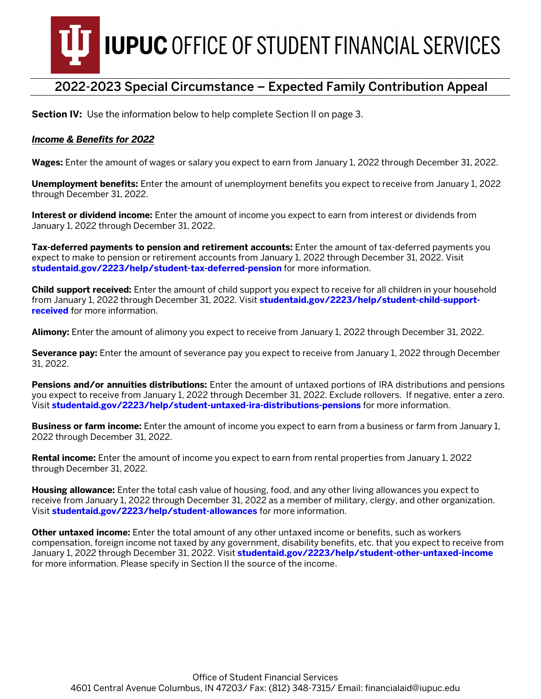

### 2022-2023 Special Circumstance – Expected Family Contribution Appeal

**Section IV:** Use the information below to help complete Section II on page 3.

#### *Income & Benefits for 2022*

**Wages:** Enter the amount of wages or salary you expect to earn from January 1, 2022 through December 31, 2022.

**Unemployment benefits:** Enter the amount of unemployment benefits you expect to receive from January 1, 2022 through December 31, 2022.

**Interest or dividend income:** Enter the amount of income you expect to earn from interest or dividends from January 1, 2022 through December 31, 2022.

**Tax-deferred payments to pension and retirement accounts:** Enter the amount of tax-deferred payments you expect to make to pension or retirement accounts from January 1, 2022 through December 31, 2022. Visit **studentaid.gov/2223/help/stud[ent-tax-deferred-pension](https://studentaid.gov/2122/help/student-tax-deferred-pension)** for more information.

**Child support received:** Enter the amount of child support you expect to receive for all children in your household from January 1, 2022 through December 31, 2022. Visit **studentaid.gov/2223[/help/student-child-support](https://studentaid.gov/2122/help/student-child-support-received)[received](https://studentaid.gov/2122/help/student-child-support-received)** for more information.

**Alimony:** Enter the amount of alimony you expect to receive from January 1, 2022 through December 31, 2022.

**Severance pay:** Enter the amount of severance pay you expect to receive from January 1, 2022 through December 31, 2022.

**Pensions and/or annuities distributions:** Enter the amount of untaxed portions of IRA distributions and pensions you expect to receive from January 1, 2022 through December 31, 2022. Exclude rollovers. If negative, enter a zero. Visit **[studentaid.gov/2223/help/student-untaxed-ira-distributions-pensions](https://studentaid.gov/2122/help/student-untaxed-ira-distributions-pensions)** for more information.

**Business or farm income:** Enter the amount of income you expect to earn from a business or farm from January 1, 2022 through December 31, 2022.

**Rental income:** Enter the amount of income you expect to earn from rental properties from January 1, 2022 through December 31, 2022.

**Housing allowance:** Enter the total cash value of housing, food, and any other living allowances you expect to receive from January 1, 2022 through December 31, 2022 as a member of military, clergy, and other organization. Visit **studentaid.gov/2223[/help/student-allowances](https://studentaid.gov/2122/help/student-allowances)** for more information.

**Other untaxed income:** Enter the total amount of any other untaxed income or benefits, such as workers compensation, foreign income not taxed by any government, disability benefits, etc. that you expect to receive from January 1, 2022 through December 31, 2022. Visit **studentaid.gov/2223[/help/student-other-untaxed-income](https://studentaid.gov/2122/help/student-other-untaxed-income)** for more information. Please specify in Section II the source of the income.